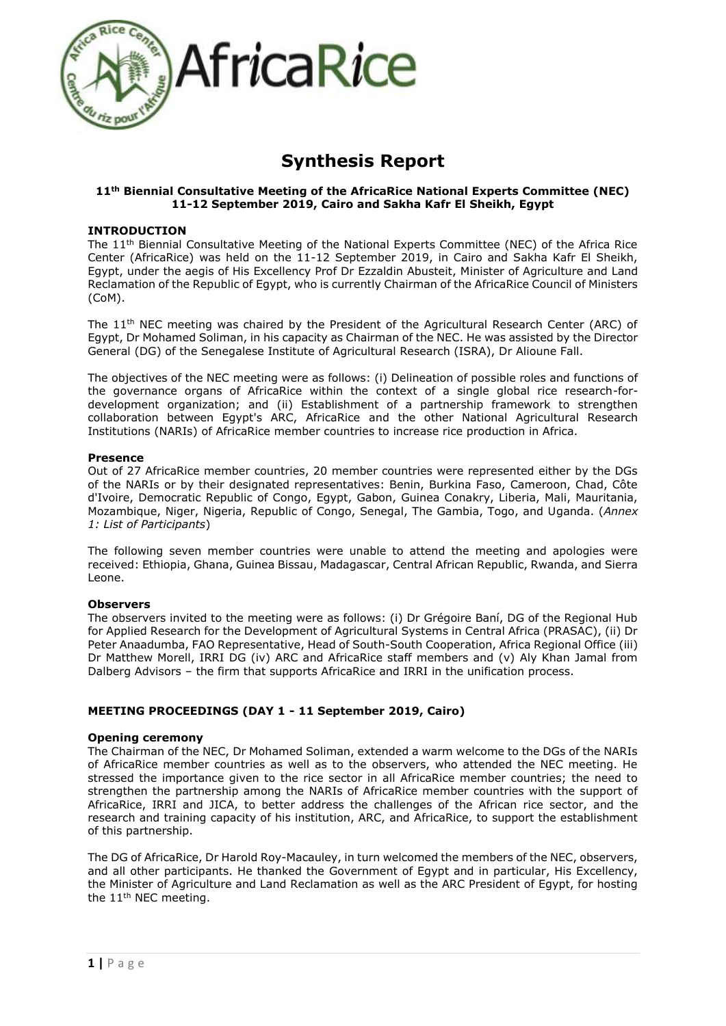

# **Synthesis Report**

## **11th Biennial Consultative Meeting of the AfricaRice National Experts Committee (NEC) 11-12 September 2019, Cairo and Sakha Kafr El Sheikh, Egypt**

## **INTRODUCTION**

The 11th Biennial Consultative Meeting of the National Experts Committee (NEC) of the Africa Rice Center (AfricaRice) was held on the 11-12 September 2019, in Cairo and Sakha Kafr El Sheikh, Egypt, under the aegis of His Excellency Prof Dr Ezzaldin Abusteit, Minister of Agriculture and Land Reclamation of the Republic of Egypt, who is currently Chairman of the AfricaRice Council of Ministers (CoM).

The 11th NEC meeting was chaired by the President of the Agricultural Research Center (ARC) of Egypt, Dr Mohamed Soliman, in his capacity as Chairman of the NEC. He was assisted by the Director General (DG) of the Senegalese Institute of Agricultural Research (ISRA), Dr Alioune Fall.

The objectives of the NEC meeting were as follows: (i) Delineation of possible roles and functions of the governance organs of AfricaRice within the context of a single global rice research-fordevelopment organization; and (ii) Establishment of a partnership framework to strengthen collaboration between Egypt's ARC, AfricaRice and the other National Agricultural Research Institutions (NARIs) of AfricaRice member countries to increase rice production in Africa.

#### **Presence**

Out of 27 AfricaRice member countries, 20 member countries were represented either by the DGs of the NARIs or by their designated representatives: Benin, Burkina Faso, Cameroon, Chad, Côte d'Ivoire, Democratic Republic of Congo, Egypt, Gabon, Guinea Conakry, Liberia, Mali, Mauritania, Mozambique, Niger, Nigeria, Republic of Congo, Senegal, The Gambia, Togo, and Uganda. (*Annex 1: List of Participants*)

The following seven member countries were unable to attend the meeting and apologies were received: Ethiopia, Ghana, Guinea Bissau, Madagascar, Central African Republic, Rwanda, and Sierra Leone.

## **Observers**

The observers invited to the meeting were as follows: (i) Dr Grégoire Baní, DG of the Regional Hub for Applied Research for the Development of Agricultural Systems in Central Africa (PRASAC), (ii) Dr Peter Anaadumba, FAO Representative, Head of South-South Cooperation, Africa Regional Office (iii) Dr Matthew Morell, IRRI DG (iv) ARC and AfricaRice staff members and (v) Aly Khan Jamal from Dalberg Advisors – the firm that supports AfricaRice and IRRI in the unification process.

## **MEETING PROCEEDINGS (DAY 1 - 11 September 2019, Cairo)**

## **Opening ceremony**

The Chairman of the NEC, Dr Mohamed Soliman, extended a warm welcome to the DGs of the NARIs of AfricaRice member countries as well as to the observers, who attended the NEC meeting. He stressed the importance given to the rice sector in all AfricaRice member countries; the need to strengthen the partnership among the NARIs of AfricaRice member countries with the support of AfricaRice, IRRI and JICA, to better address the challenges of the African rice sector, and the research and training capacity of his institution, ARC, and AfricaRice, to support the establishment of this partnership.

The DG of AfricaRice, Dr Harold Roy-Macauley, in turn welcomed the members of the NEC, observers, and all other participants. He thanked the Government of Egypt and in particular, His Excellency, the Minister of Agriculture and Land Reclamation as well as the ARC President of Egypt, for hosting the 11<sup>th</sup> NEC meeting.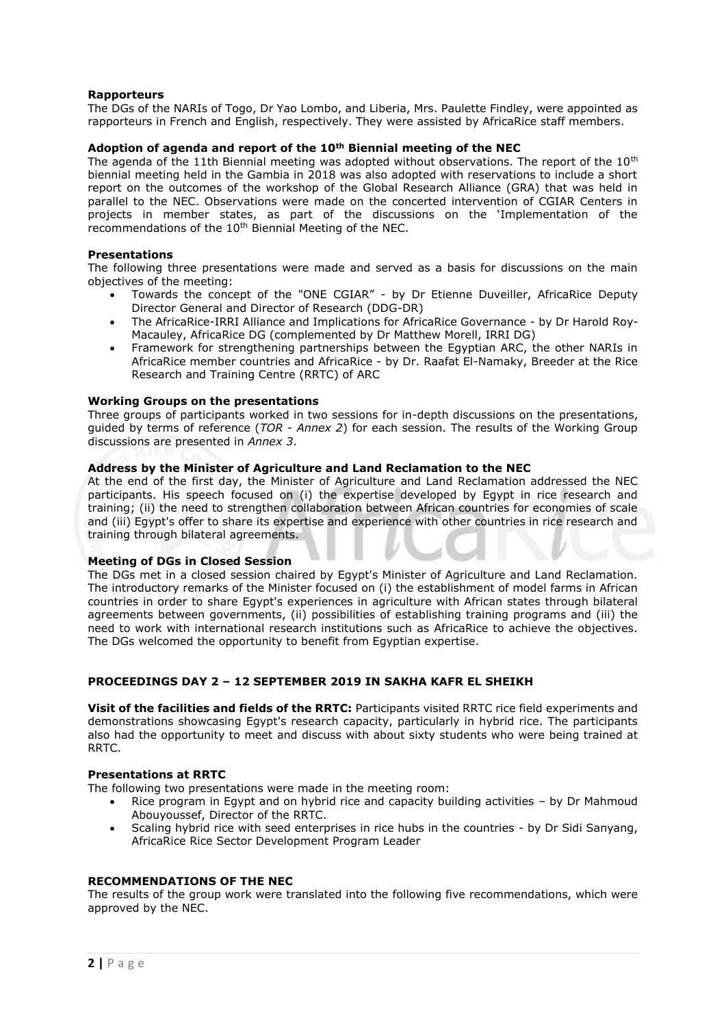## **Rapporteurs**

The DGs of the NARIs of Togo, Dr Yao Lombo, and Liberia, Mrs. Paulette Findley, were appointed as rapporteurs in French and English, respectively. They were assisted by AfricaRice staff members.

## **Adoption of agenda and report of the 10th Biennial meeting of the NEC**

The agenda of the 11th Biennial meeting was adopted without observations. The report of the  $10<sup>th</sup>$ biennial meeting held in the Gambia in 2018 was also adopted with reservations to include a short report on the outcomes of the workshop of the Global Research Alliance (GRA) that was held in parallel to the NEC. Observations were made on the concerted intervention of CGIAR Centers in projects in member states, as part of the discussions on the 'Implementation of the recommendations of the 10<sup>th</sup> Biennial Meeting of the NEC.

### **Presentations**

The following three presentations were made and served as a basis for discussions on the main objectives of the meeting:

- Towards the concept of the "ONE CGIAR" by Dr Etienne Duveiller, AfricaRice Deputy Director General and Director of Research (DDG-DR)
- The AfricaRice-IRRI Alliance and Implications for AfricaRice Governance by Dr Harold Roy-Macauley, AfricaRice DG (complemented by Dr Matthew Morell, IRRI DG)
- Framework for strengthening partnerships between the Egyptian ARC, the other NARIs in AfricaRice member countries and AfricaRice - by Dr. Raafat El-Namaky, Breeder at the Rice Research and Training Centre (RRTC) of ARC

#### **Working Groups on the presentations**

Three groups of participants worked in two sessions for in-depth discussions on the presentations, guided by terms of reference (*TOR - Annex 2*) for each session. The results of the Working Group discussions are presented in *Annex 3*.

#### **Address by the Minister of Agriculture and Land Reclamation to the NEC**

At the end of the first day, the Minister of Agriculture and Land Reclamation addressed the NEC participants. His speech focused on (i) the expertise developed by Egypt in rice research and training; (ii) the need to strengthen collaboration between African countries for economies of scale and (iii) Egypt's offer to share its expertise and experience with other countries in rice research and training through bilateral agreements.

#### **Meeting of DGs in Closed Session**

The DGs met in a closed session chaired by Egypt's Minister of Agriculture and Land Reclamation. The introductory remarks of the Minister focused on (i) the establishment of model farms in African countries in order to share Egypt's experiences in agriculture with African states through bilateral agreements between governments, (ii) possibilities of establishing training programs and (iii) the need to work with international research institutions such as AfricaRice to achieve the objectives. The DGs welcomed the opportunity to benefit from Egyptian expertise.

## **PROCEEDINGS DAY 2 – 12 SEPTEMBER 2019 IN SAKHA KAFR EL SHEIKH**

**Visit of the facilities and fields of the RRTC:** Participants visited RRTC rice field experiments and demonstrations showcasing Egypt's research capacity, particularly in hybrid rice. The participants also had the opportunity to meet and discuss with about sixty students who were being trained at RRTC.

## **Presentations at RRTC**

The following two presentations were made in the meeting room:

- Rice program in Egypt and on hybrid rice and capacity building activities by Dr Mahmoud Abouyoussef, Director of the RRTC.
- Scaling hybrid rice with seed enterprises in rice hubs in the countries by Dr Sidi Sanyang, AfricaRice Rice Sector Development Program Leader

## **RECOMMENDATIONS OF THE NEC**

The results of the group work were translated into the following five recommendations, which were approved by the NEC.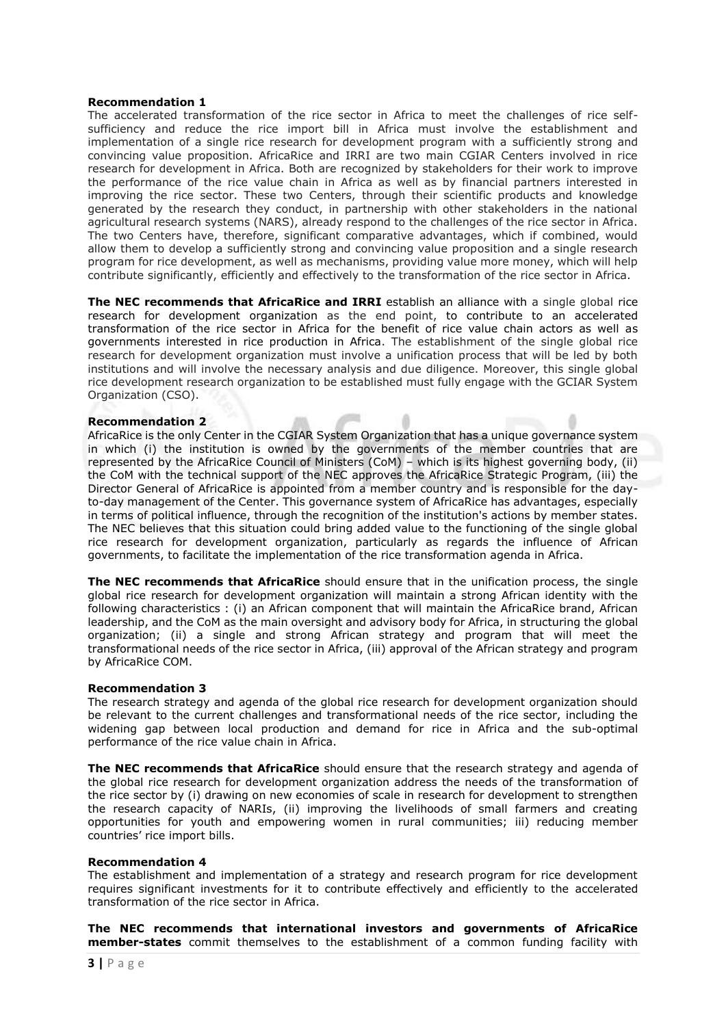#### **Recommendation 1**

The accelerated transformation of the rice sector in Africa to meet the challenges of rice selfsufficiency and reduce the rice import bill in Africa must involve the establishment and implementation of a single rice research for development program with a sufficiently strong and convincing value proposition. AfricaRice and IRRI are two main CGIAR Centers involved in rice research for development in Africa. Both are recognized by stakeholders for their work to improve the performance of the rice value chain in Africa as well as by financial partners interested in improving the rice sector. These two Centers, through their scientific products and knowledge generated by the research they conduct, in partnership with other stakeholders in the national agricultural research systems (NARS), already respond to the challenges of the rice sector in Africa. The two Centers have, therefore, significant comparative advantages, which if combined, would allow them to develop a sufficiently strong and convincing value proposition and a single research program for rice development, as well as mechanisms, providing value more money, which will help contribute significantly, efficiently and effectively to the transformation of the rice sector in Africa.

**The NEC recommends that AfricaRice and IRRI** establish an alliance with a single global rice research for development organization as the end point, to contribute to an accelerated transformation of the rice sector in Africa for the benefit of rice value chain actors as well as governments interested in rice production in Africa. The establishment of the single global rice research for development organization must involve a unification process that will be led by both institutions and will involve the necessary analysis and due diligence. Moreover, this single global rice development research organization to be established must fully engage with the GCIAR System Organization (CSO).

#### **Recommendation 2**

AfricaRice is the only Center in the CGIAR System Organization that has a unique governance system in which (i) the institution is owned by the governments of the member countries that are represented by the AfricaRice Council of Ministers (CoM) – which is its highest governing body, (ii) the CoM with the technical support of the NEC approves the AfricaRice Strategic Program, (iii) the Director General of AfricaRice is appointed from a member country and is responsible for the dayto-day management of the Center. This governance system of AfricaRice has advantages, especially in terms of political influence, through the recognition of the institution's actions by member states. The NEC believes that this situation could bring added value to the functioning of the single global rice research for development organization, particularly as regards the influence of African governments, to facilitate the implementation of the rice transformation agenda in Africa.

**The NEC recommends that AfricaRice** should ensure that in the unification process, the single global rice research for development organization will maintain a strong African identity with the following characteristics : (i) an African component that will maintain the AfricaRice brand, African leadership, and the CoM as the main oversight and advisory body for Africa, in structuring the global organization; (ii) a single and strong African strategy and program that will meet the transformational needs of the rice sector in Africa, (iii) approval of the African strategy and program by AfricaRice COM.

## **Recommendation 3**

The research strategy and agenda of the global rice research for development organization should be relevant to the current challenges and transformational needs of the rice sector, including the widening gap between local production and demand for rice in Africa and the sub-optimal performance of the rice value chain in Africa.

**The NEC recommends that AfricaRice** should ensure that the research strategy and agenda of the global rice research for development organization address the needs of the transformation of the rice sector by (i) drawing on new economies of scale in research for development to strengthen the research capacity of NARIs, (ii) improving the livelihoods of small farmers and creating opportunities for youth and empowering women in rural communities; iii) reducing member countries' rice import bills.

#### **Recommendation 4**

The establishment and implementation of a strategy and research program for rice development requires significant investments for it to contribute effectively and efficiently to the accelerated transformation of the rice sector in Africa.

**The NEC recommends that international investors and governments of AfricaRice member-states** commit themselves to the establishment of a common funding facility with